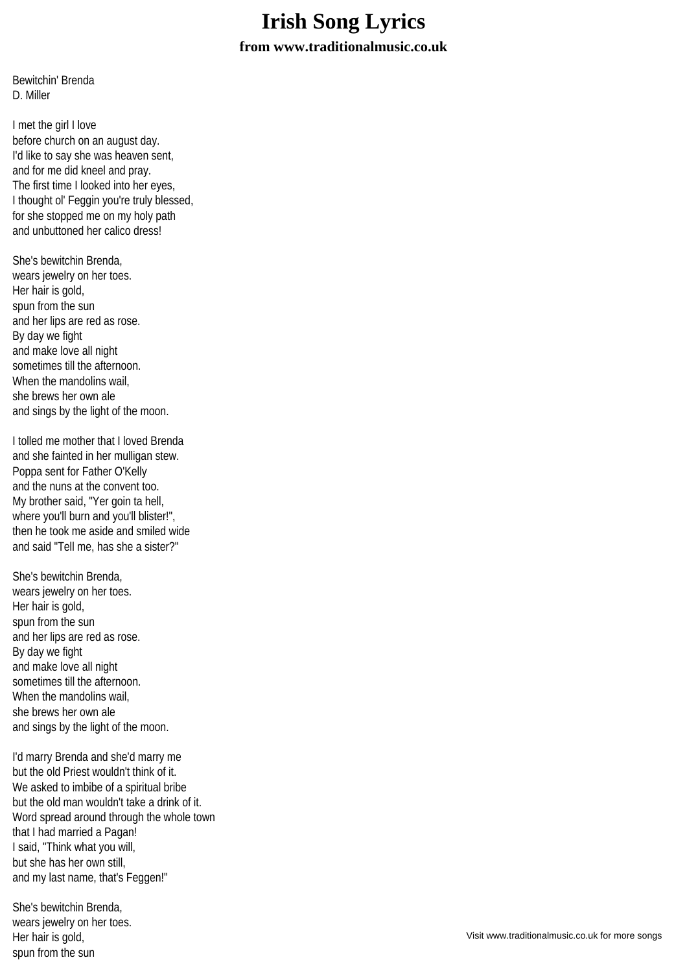## **Irish Song Lyrics**

**from www.traditionalmusic.co.uk**

Bewitchin' Brenda D. Miller

I met the girl I love before church on an august day. I'd like to say she was heaven sent. and for me did kneel and pray. The first time I looked into her eyes, I thought ol' Feggin you're truly blessed, for she stopped me on my holy path and unbuttoned her calico dress!

She's bewitchin Brenda, wears jewelry on her toes. Her hair is gold, spun from the sun and her lips are red as rose. By day we fight and make love all night sometimes till the afternoon. When the mandolins wail she brews her own ale and sings by the light of the moon.

I tolled me mother that I loved Brenda and she fainted in her mulligan stew. Poppa sent for Father O'Kelly and the nuns at the convent too. My brother said, "Yer goin ta hell, where you'll burn and you'll blister!", then he took me aside and smiled wide and said "Tell me, has she a sister?"

She's bewitchin Brenda, wears jewelry on her toes. Her hair is gold, spun from the sun and her lips are red as rose. By day we fight and make love all night sometimes till the afternoon. When the mandolins wail. she brews her own ale and sings by the light of the moon.

I'd marry Brenda and she'd marry me but the old Priest wouldn't think of it. We asked to imbibe of a spiritual bribe but the old man wouldn't take a drink of it. Word spread around through the whole town that I had married a Pagan! I said, "Think what you will, but she has her own still, and my last name, that's Feggen!"

She's bewitchin Brenda, wears jewelry on her toes. Her hair is gold, spun from the sun